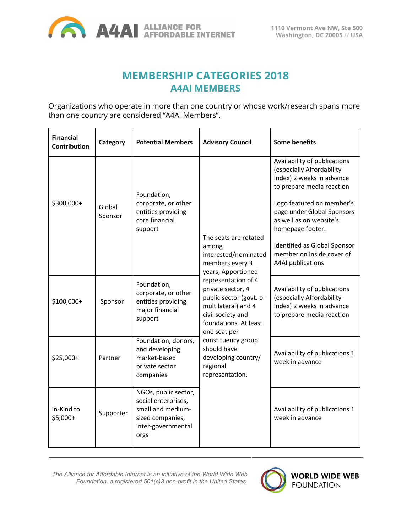

# **MEMBERSHIP CATEGORIES 2018 A4AI MEMBERS**

Organizations who operate in more than one country or whose work/research spans more than one country are considered "A4AI Members".

| <b>Financial</b><br><b>Contribution</b> | Category          | <b>Potential Members</b>                                                                                           | <b>Advisory Council</b>                                                                                                                                                                                                                                                                                                                                | <b>Some benefits</b>                                                                                                                                                                                                                                                                                                   |
|-----------------------------------------|-------------------|--------------------------------------------------------------------------------------------------------------------|--------------------------------------------------------------------------------------------------------------------------------------------------------------------------------------------------------------------------------------------------------------------------------------------------------------------------------------------------------|------------------------------------------------------------------------------------------------------------------------------------------------------------------------------------------------------------------------------------------------------------------------------------------------------------------------|
| \$300,000+                              | Global<br>Sponsor | Foundation,<br>corporate, or other<br>entities providing<br>core financial<br>support                              | The seats are rotated<br>among<br>interested/nominated<br>members every 3<br>years; Apportioned<br>representation of 4<br>private sector, 4<br>public sector (govt. or<br>multilateral) and 4<br>civil society and<br>foundations. At least<br>one seat per<br>constituency group<br>should have<br>developing country/<br>regional<br>representation. | Availability of publications<br>(especially Affordability<br>Index) 2 weeks in advance<br>to prepare media reaction<br>Logo featured on member's<br>page under Global Sponsors<br>as well as on website's<br>homepage footer.<br>Identified as Global Sponsor<br>member on inside cover of<br><b>A4AI</b> publications |
| \$100,000+                              | Sponsor           | Foundation,<br>corporate, or other<br>entities providing<br>major financial<br>support                             |                                                                                                                                                                                                                                                                                                                                                        | Availability of publications<br>(especially Affordability<br>Index) 2 weeks in advance<br>to prepare media reaction                                                                                                                                                                                                    |
| $$25,000+$                              | Partner           | Foundation, donors,<br>and developing<br>market-based<br>private sector<br>companies                               |                                                                                                                                                                                                                                                                                                                                                        | Availability of publications 1<br>week in advance                                                                                                                                                                                                                                                                      |
| In-Kind to<br>$$5,000+$                 | Supporter         | NGOs, public sector,<br>social enterprises,<br>small and medium-<br>sized companies,<br>inter-governmental<br>orgs |                                                                                                                                                                                                                                                                                                                                                        | Availability of publications 1<br>week in advance                                                                                                                                                                                                                                                                      |

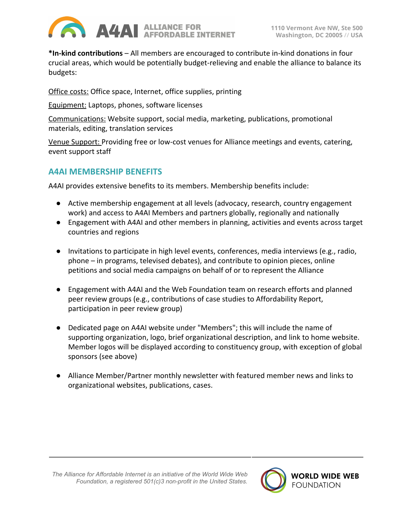

**\*In-kind contributions** – All members are encouraged to contribute in-kind donations in four crucial areas, which would be potentially budget-relieving and enable the alliance to balance its budgets:

Office costs: Office space, Internet, office supplies, printing

Equipment: Laptops, phones, software licenses

Communications: Website support, social media, marketing, publications, promotional materials, editing, translation services

Venue Support: Providing free or low-cost venues for Alliance meetings and events, catering, event support staff

## **A4AI MEMBERSHIP BENEFITS**

A4AI provides extensive benefits to its members. Membership benefits include:

- Active membership engagement at all levels (advocacy, research, country engagement work) and access to A4AI Members and partners globally, regionally and nationally
- Engagement with A4AI and other members in planning, activities and events across target countries and regions
- Invitations to participate in high level events, conferences, media interviews (e.g., radio, phone – in programs, televised debates), and contribute to opinion pieces, online petitions and social media campaigns on behalf of or to represent the Alliance
- Engagement with A4AI and the Web Foundation team on research efforts and planned peer review groups (e.g., contributions of case studies to Affordability Report, participation in peer review group)
- Dedicated page on A4AI website under "Members"; this will include the name of supporting organization, logo, brief organizational description, and link to home website. Member logos will be displayed according to constituency group, with exception of global sponsors (see above)
- Alliance Member/Partner monthly newsletter with featured member news and links to organizational websites, publications, cases.

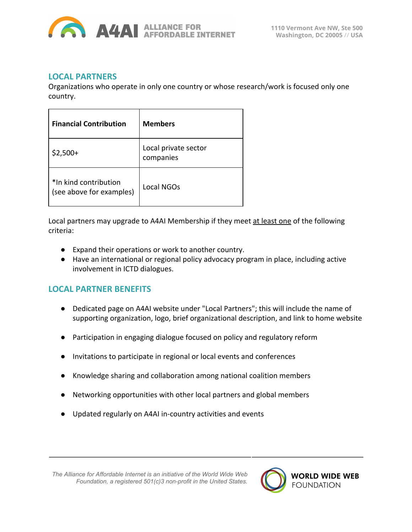

#### **LOCAL PARTNERS**

Organizations who operate in only one country or whose research/work is focused only one country.

| <b>Financial Contribution</b>                     | <b>Members</b>                    |  |
|---------------------------------------------------|-----------------------------------|--|
| $$2,500+$                                         | Local private sector<br>companies |  |
| *In kind contribution<br>(see above for examples) | Local NGOs                        |  |

Local partners may upgrade to A4AI Membership if they meet at least one of the following criteria:

- Expand their operations or work to another country.
- Have an international or regional policy advocacy program in place, including active involvement in ICTD dialogues.

#### **LOCAL PARTNER BENEFITS**

- Dedicated page on A4AI website under "Local Partners"; this will include the name of supporting organization, logo, brief organizational description, and link to home website
- Participation in engaging dialogue focused on policy and regulatory reform
- Invitations to participate in regional or local events and conferences
- Knowledge sharing and collaboration among national coalition members
- Networking opportunities with other local partners and global members
- Updated regularly on A4AI in-country activities and events